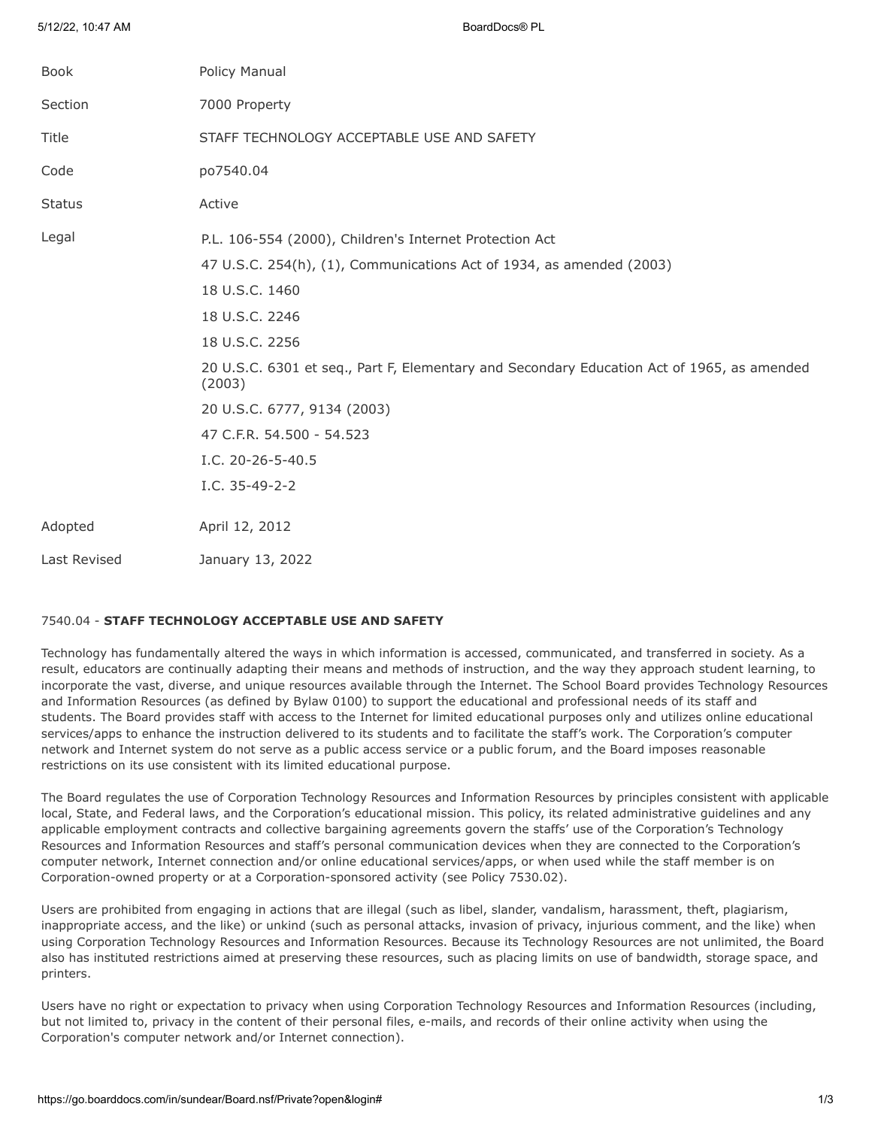| <b>Book</b>   | Policy Manual                                                                                        |
|---------------|------------------------------------------------------------------------------------------------------|
| Section       | 7000 Property                                                                                        |
| Title         | STAFF TECHNOLOGY ACCEPTABLE USE AND SAFETY                                                           |
| Code          | po7540.04                                                                                            |
| <b>Status</b> | Active                                                                                               |
| Legal         | P.L. 106-554 (2000), Children's Internet Protection Act                                              |
|               | 47 U.S.C. 254(h), (1), Communications Act of 1934, as amended (2003)                                 |
|               | 18 U.S.C. 1460                                                                                       |
|               | 18 U.S.C. 2246                                                                                       |
|               | 18 U.S.C. 2256                                                                                       |
|               | 20 U.S.C. 6301 et seq., Part F, Elementary and Secondary Education Act of 1965, as amended<br>(2003) |
|               | 20 U.S.C. 6777, 9134 (2003)                                                                          |
|               | 47 C.F.R. 54.500 - 54.523                                                                            |
|               | I.C. 20-26-5-40.5                                                                                    |
|               | I.C. 35-49-2-2                                                                                       |
| Adopted       | April 12, 2012                                                                                       |
| Last Revised  | January 13, 2022                                                                                     |
|               |                                                                                                      |

# 7540.04 - **STAFF TECHNOLOGY ACCEPTABLE USE AND SAFETY**

5/12/22, 10:47 AM BoardDocs® PL

Technology has fundamentally altered the ways in which information is accessed, communicated, and transferred in society. As a result, educators are continually adapting their means and methods of instruction, and the way they approach student learning, to incorporate the vast, diverse, and unique resources available through the Internet. The School Board provides Technology Resources and Information Resources (as defined by Bylaw 0100) to support the educational and professional needs of its staff and students. The Board provides staff with access to the Internet for limited educational purposes only and utilizes online educational services/apps to enhance the instruction delivered to its students and to facilitate the staff's work. The Corporation's computer network and Internet system do not serve as a public access service or a public forum, and the Board imposes reasonable restrictions on its use consistent with its limited educational purpose.

The Board regulates the use of Corporation Technology Resources and Information Resources by principles consistent with applicable local, State, and Federal laws, and the Corporation's educational mission. This policy, its related administrative guidelines and any applicable employment contracts and collective bargaining agreements govern the staffs' use of the Corporation's Technology Resources and Information Resources and staff's personal communication devices when they are connected to the Corporation's computer network, Internet connection and/or online educational services/apps, or when used while the staff member is on Corporation-owned property or at a Corporation-sponsored activity (see Policy 7530.02).

Users are prohibited from engaging in actions that are illegal (such as libel, slander, vandalism, harassment, theft, plagiarism, inappropriate access, and the like) or unkind (such as personal attacks, invasion of privacy, injurious comment, and the like) when using Corporation Technology Resources and Information Resources. Because its Technology Resources are not unlimited, the Board also has instituted restrictions aimed at preserving these resources, such as placing limits on use of bandwidth, storage space, and printers.

Users have no right or expectation to privacy when using Corporation Technology Resources and Information Resources (including, but not limited to, privacy in the content of their personal files, e-mails, and records of their online activity when using the Corporation's computer network and/or Internet connection).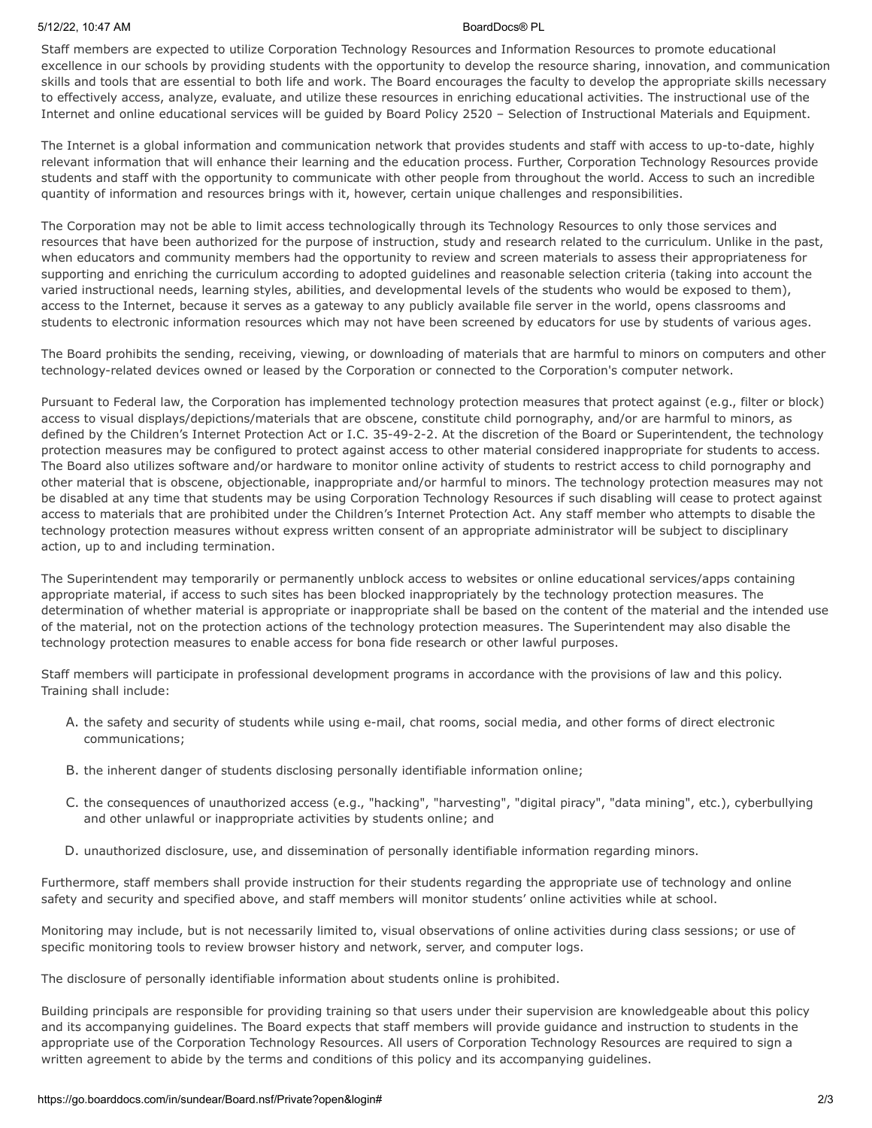## 5/12/22, 10:47 AM BoardDocs® PL

Staff members are expected to utilize Corporation Technology Resources and Information Resources to promote educational excellence in our schools by providing students with the opportunity to develop the resource sharing, innovation, and communication skills and tools that are essential to both life and work. The Board encourages the faculty to develop the appropriate skills necessary to effectively access, analyze, evaluate, and utilize these resources in enriching educational activities. The instructional use of the Internet and online educational services will be guided by Board Policy 2520 – Selection of Instructional Materials and Equipment.

The Internet is a global information and communication network that provides students and staff with access to up-to-date, highly relevant information that will enhance their learning and the education process. Further, Corporation Technology Resources provide students and staff with the opportunity to communicate with other people from throughout the world. Access to such an incredible quantity of information and resources brings with it, however, certain unique challenges and responsibilities.

The Corporation may not be able to limit access technologically through its Technology Resources to only those services and resources that have been authorized for the purpose of instruction, study and research related to the curriculum. Unlike in the past, when educators and community members had the opportunity to review and screen materials to assess their appropriateness for supporting and enriching the curriculum according to adopted guidelines and reasonable selection criteria (taking into account the varied instructional needs, learning styles, abilities, and developmental levels of the students who would be exposed to them), access to the Internet, because it serves as a gateway to any publicly available file server in the world, opens classrooms and students to electronic information resources which may not have been screened by educators for use by students of various ages.

The Board prohibits the sending, receiving, viewing, or downloading of materials that are harmful to minors on computers and other technology-related devices owned or leased by the Corporation or connected to the Corporation's computer network.

Pursuant to Federal law, the Corporation has implemented technology protection measures that protect against (e.g., filter or block) access to visual displays/depictions/materials that are obscene, constitute child pornography, and/or are harmful to minors, as defined by the Children's Internet Protection Act or I.C. 35-49-2-2. At the discretion of the Board or Superintendent, the technology protection measures may be configured to protect against access to other material considered inappropriate for students to access. The Board also utilizes software and/or hardware to monitor online activity of students to restrict access to child pornography and other material that is obscene, objectionable, inappropriate and/or harmful to minors. The technology protection measures may not be disabled at any time that students may be using Corporation Technology Resources if such disabling will cease to protect against access to materials that are prohibited under the Children's Internet Protection Act. Any staff member who attempts to disable the technology protection measures without express written consent of an appropriate administrator will be subject to disciplinary action, up to and including termination.

The Superintendent may temporarily or permanently unblock access to websites or online educational services/apps containing appropriate material, if access to such sites has been blocked inappropriately by the technology protection measures. The determination of whether material is appropriate or inappropriate shall be based on the content of the material and the intended use of the material, not on the protection actions of the technology protection measures. The Superintendent may also disable the technology protection measures to enable access for bona fide research or other lawful purposes.

Staff members will participate in professional development programs in accordance with the provisions of law and this policy. Training shall include:

- A. the safety and security of students while using e-mail, chat rooms, social media, and other forms of direct electronic communications;
- B. the inherent danger of students disclosing personally identifiable information online;
- C. the consequences of unauthorized access (e.g., "hacking", "harvesting", "digital piracy", "data mining", etc.), cyberbullying and other unlawful or inappropriate activities by students online; and
- D. unauthorized disclosure, use, and dissemination of personally identifiable information regarding minors.

Furthermore, staff members shall provide instruction for their students regarding the appropriate use of technology and online safety and security and specified above, and staff members will monitor students' online activities while at school.

Monitoring may include, but is not necessarily limited to, visual observations of online activities during class sessions; or use of specific monitoring tools to review browser history and network, server, and computer logs.

The disclosure of personally identifiable information about students online is prohibited.

Building principals are responsible for providing training so that users under their supervision are knowledgeable about this policy and its accompanying guidelines. The Board expects that staff members will provide guidance and instruction to students in the appropriate use of the Corporation Technology Resources. All users of Corporation Technology Resources are required to sign a written agreement to abide by the terms and conditions of this policy and its accompanying guidelines.